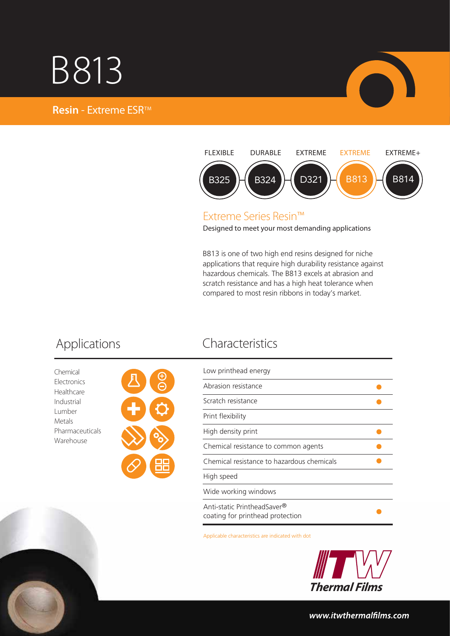## B813





## Extreme Series Resin™

Designed to meet your most demanding applications

B813 is one of two high end resins designed for niche applications that require high durability resistance against hazardous chemicals. The B813 excels at abrasion and scratch resistance and has a high heat tolerance when compared to most resin ribbons in today's market.

Chemical Electronics Healthcare Industrial Lumber Metals Pharmaceuticals Warehouse



## Applications Characteristics

| Low printhead energy                                            |  |
|-----------------------------------------------------------------|--|
| Abrasion resistance                                             |  |
| Scratch resistance                                              |  |
| Print flexibility                                               |  |
| High density print                                              |  |
| Chemical resistance to common agents                            |  |
| Chemical resistance to hazardous chemicals                      |  |
| High speed                                                      |  |
| Wide working windows                                            |  |
| Anti-static PrintheadSaver®<br>coating for printhead protection |  |

Applicable characteristics are indicated with dot



### www.itwthermalfilms.com